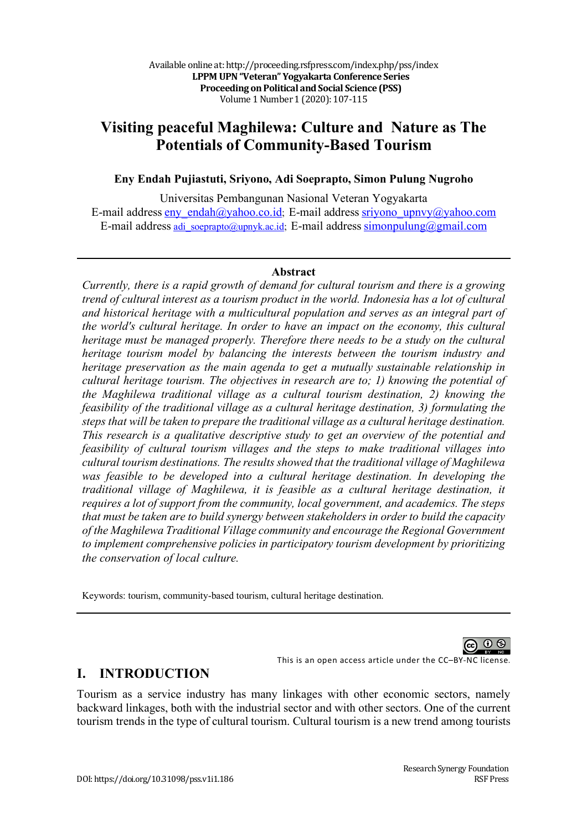# **Visiting peaceful Maghilewa: Culture and Nature as The Potentials of Community-Based Tourism**

#### **Eny Endah Pujiastuti, Sriyono, Adi Soeprapto, Simon Pulung Nugroho**

Universitas Pembangunan Nasional Veteran Yogyakarta E-mail address eny endah@yahoo.co.id; E-mail address sriyono upnvy@yahoo.com E-mail address adi\_soeprapto@upnyk.ac.id; E-mail address simonpulung@gmail.com

#### **Abstract**

*Currently, there is a rapid growth of demand for cultural tourism and there is a growing trend of cultural interest as a tourism product in the world. Indonesia has a lot of cultural and historical heritage with a multicultural population and serves as an integral part of the world's cultural heritage. In order to have an impact on the economy, this cultural heritage must be managed properly. Therefore there needs to be a study on the cultural heritage tourism model by balancing the interests between the tourism industry and heritage preservation as the main agenda to get a mutually sustainable relationship in cultural heritage tourism. The objectives in research are to; 1) knowing the potential of the Maghilewa traditional village as a cultural tourism destination, 2) knowing the feasibility of the traditional village as a cultural heritage destination, 3) formulating the steps that will be taken to prepare the traditional village as a cultural heritage destination. This research is a qualitative descriptive study to get an overview of the potential and feasibility of cultural tourism villages and the steps to make traditional villages into cultural tourism destinations. The results showed that the traditional village of Maghilewa*  was feasible to be developed into a cultural heritage destination. In developing the *traditional village of Maghilewa, it is feasible as a cultural heritage destination, it requires a lot of support from the community, local government, and academics. The steps that must be taken are to build synergy between stakeholders in order to build the capacity of the Maghilewa Traditional Village community and encourage the Regional Government to implement comprehensive policies in participatory tourism development by prioritizing the conservation of local culture.*

Keywords: tourism, community-based tourism, cultural heritage destination.



This is an open access article under the CC–BY-NC license.

## **I. INTRODUCTION**

Tourism as a service industry has many linkages with other economic sectors, namely backward linkages, both with the industrial sector and with other sectors. One of the current tourism trends in the type of cultural tourism. Cultural tourism is a new trend among tourists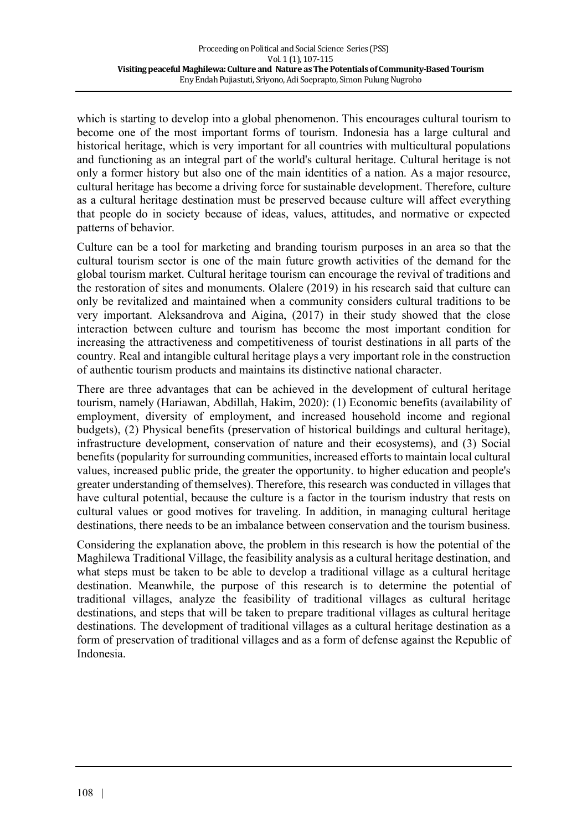which is starting to develop into a global phenomenon. This encourages cultural tourism to become one of the most important forms of tourism. Indonesia has a large cultural and historical heritage, which is very important for all countries with multicultural populations and functioning as an integral part of the world's cultural heritage. Cultural heritage is not only a former history but also one of the main identities of a nation. As a major resource, cultural heritage has become a driving force for sustainable development. Therefore, culture as a cultural heritage destination must be preserved because culture will affect everything that people do in society because of ideas, values, attitudes, and normative or expected patterns of behavior.

Culture can be a tool for marketing and branding tourism purposes in an area so that the cultural tourism sector is one of the main future growth activities of the demand for the global tourism market. Cultural heritage tourism can encourage the revival of traditions and the restoration of sites and monuments. Olalere (2019) in his research said that culture can only be revitalized and maintained when a community considers cultural traditions to be very important. Aleksandrova and Aigina, (2017) in their study showed that the close interaction between culture and tourism has become the most important condition for increasing the attractiveness and competitiveness of tourist destinations in all parts of the country. Real and intangible cultural heritage plays a very important role in the construction of authentic tourism products and maintains its distinctive national character.

There are three advantages that can be achieved in the development of cultural heritage tourism, namely (Hariawan, Abdillah, Hakim, 2020): (1) Economic benefits (availability of employment, diversity of employment, and increased household income and regional budgets), (2) Physical benefits (preservation of historical buildings and cultural heritage), infrastructure development, conservation of nature and their ecosystems), and (3) Social benefits (popularity for surrounding communities, increased efforts to maintain local cultural values, increased public pride, the greater the opportunity. to higher education and people's greater understanding of themselves). Therefore, this research was conducted in villages that have cultural potential, because the culture is a factor in the tourism industry that rests on cultural values or good motives for traveling. In addition, in managing cultural heritage destinations, there needs to be an imbalance between conservation and the tourism business.

Considering the explanation above, the problem in this research is how the potential of the Maghilewa Traditional Village, the feasibility analysis as a cultural heritage destination, and what steps must be taken to be able to develop a traditional village as a cultural heritage destination. Meanwhile, the purpose of this research is to determine the potential of traditional villages, analyze the feasibility of traditional villages as cultural heritage destinations, and steps that will be taken to prepare traditional villages as cultural heritage destinations. The development of traditional villages as a cultural heritage destination as a form of preservation of traditional villages and as a form of defense against the Republic of Indonesia.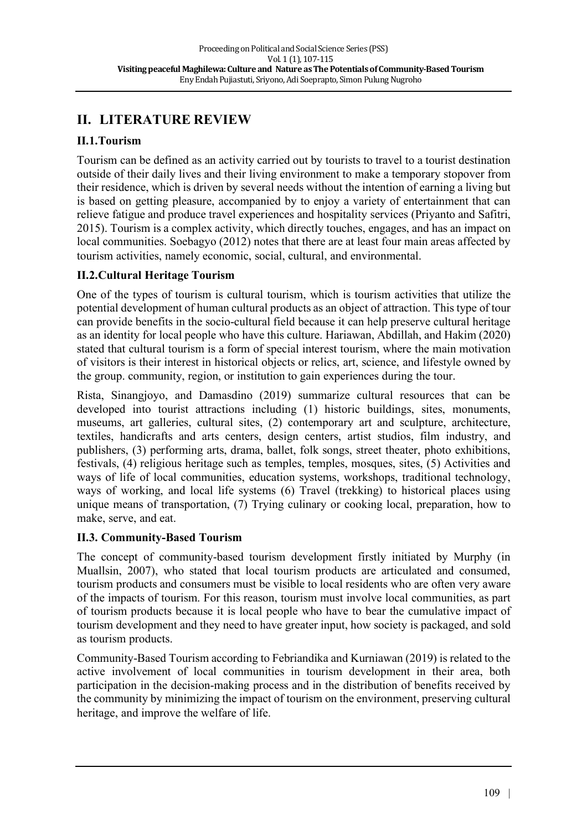# **II. LITERATURE REVIEW**

## **II.1.Tourism**

Tourism can be defined as an activity carried out by tourists to travel to a tourist destination outside of their daily lives and their living environment to make a temporary stopover from their residence, which is driven by several needs without the intention of earning a living but is based on getting pleasure, accompanied by to enjoy a variety of entertainment that can relieve fatigue and produce travel experiences and hospitality services (Priyanto and Safitri, 2015). Tourism is a complex activity, which directly touches, engages, and has an impact on local communities. Soebagyo (2012) notes that there are at least four main areas affected by tourism activities, namely economic, social, cultural, and environmental.

## **II.2.Cultural Heritage Tourism**

One of the types of tourism is cultural tourism, which is tourism activities that utilize the potential development of human cultural products as an object of attraction. This type of tour can provide benefits in the socio-cultural field because it can help preserve cultural heritage as an identity for local people who have this culture. Hariawan, Abdillah, and Hakim (2020) stated that cultural tourism is a form of special interest tourism, where the main motivation of visitors is their interest in historical objects or relics, art, science, and lifestyle owned by the group. community, region, or institution to gain experiences during the tour.

Rista, Sinangjoyo, and Damasdino (2019) summarize cultural resources that can be developed into tourist attractions including (1) historic buildings, sites, monuments, museums, art galleries, cultural sites, (2) contemporary art and sculpture, architecture, textiles, handicrafts and arts centers, design centers, artist studios, film industry, and publishers, (3) performing arts, drama, ballet, folk songs, street theater, photo exhibitions, festivals, (4) religious heritage such as temples, temples, mosques, sites, (5) Activities and ways of life of local communities, education systems, workshops, traditional technology, ways of working, and local life systems (6) Travel (trekking) to historical places using unique means of transportation, (7) Trying culinary or cooking local, preparation, how to make, serve, and eat.

## **II.3. Community-Based Tourism**

The concept of community-based tourism development firstly initiated by Murphy (in Muallsin, 2007), who stated that local tourism products are articulated and consumed, tourism products and consumers must be visible to local residents who are often very aware of the impacts of tourism. For this reason, tourism must involve local communities, as part of tourism products because it is local people who have to bear the cumulative impact of tourism development and they need to have greater input, how society is packaged, and sold as tourism products.

Community-Based Tourism according to Febriandika and Kurniawan (2019) is related to the active involvement of local communities in tourism development in their area, both participation in the decision-making process and in the distribution of benefits received by the community by minimizing the impact of tourism on the environment, preserving cultural heritage, and improve the welfare of life.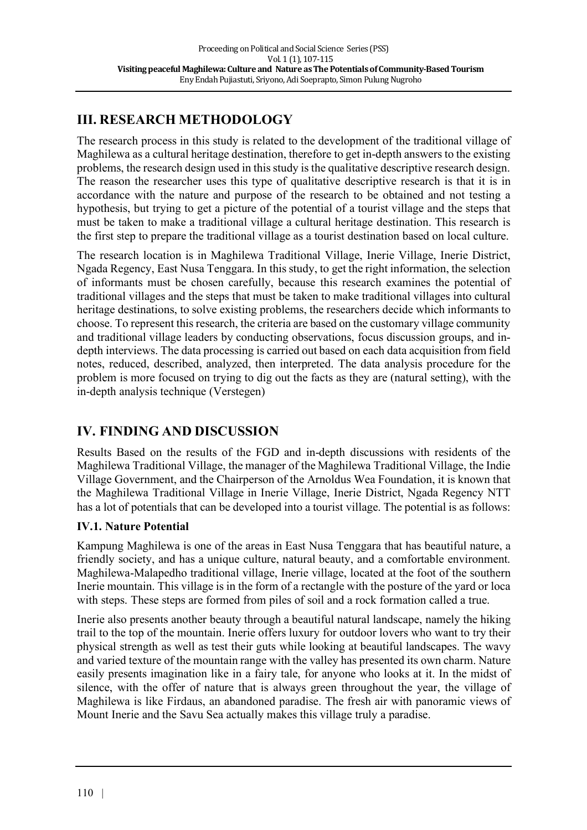# **III. RESEARCH METHODOLOGY**

The research process in this study is related to the development of the traditional village of Maghilewa as a cultural heritage destination, therefore to get in-depth answers to the existing problems, the research design used in this study is the qualitative descriptive research design. The reason the researcher uses this type of qualitative descriptive research is that it is in accordance with the nature and purpose of the research to be obtained and not testing a hypothesis, but trying to get a picture of the potential of a tourist village and the steps that must be taken to make a traditional village a cultural heritage destination. This research is the first step to prepare the traditional village as a tourist destination based on local culture.

The research location is in Maghilewa Traditional Village, Inerie Village, Inerie District, Ngada Regency, East Nusa Tenggara. In this study, to get the right information, the selection of informants must be chosen carefully, because this research examines the potential of traditional villages and the steps that must be taken to make traditional villages into cultural heritage destinations, to solve existing problems, the researchers decide which informants to choose. To represent this research, the criteria are based on the customary village community and traditional village leaders by conducting observations, focus discussion groups, and indepth interviews. The data processing is carried out based on each data acquisition from field notes, reduced, described, analyzed, then interpreted. The data analysis procedure for the problem is more focused on trying to dig out the facts as they are (natural setting), with the in-depth analysis technique (Verstegen)

## **IV. FINDING AND DISCUSSION**

Results Based on the results of the FGD and in-depth discussions with residents of the Maghilewa Traditional Village, the manager of the Maghilewa Traditional Village, the Indie Village Government, and the Chairperson of the Arnoldus Wea Foundation, it is known that the Maghilewa Traditional Village in Inerie Village, Inerie District, Ngada Regency NTT has a lot of potentials that can be developed into a tourist village. The potential is as follows:

## **IV.1. Nature Potential**

Kampung Maghilewa is one of the areas in East Nusa Tenggara that has beautiful nature, a friendly society, and has a unique culture, natural beauty, and a comfortable environment. Maghilewa-Malapedho traditional village, Inerie village, located at the foot of the southern Inerie mountain. This village is in the form of a rectangle with the posture of the yard or loca with steps. These steps are formed from piles of soil and a rock formation called a true.

Inerie also presents another beauty through a beautiful natural landscape, namely the hiking trail to the top of the mountain. Inerie offers luxury for outdoor lovers who want to try their physical strength as well as test their guts while looking at beautiful landscapes. The wavy and varied texture of the mountain range with the valley has presented its own charm. Nature easily presents imagination like in a fairy tale, for anyone who looks at it. In the midst of silence, with the offer of nature that is always green throughout the year, the village of Maghilewa is like Firdaus, an abandoned paradise. The fresh air with panoramic views of Mount Inerie and the Savu Sea actually makes this village truly a paradise.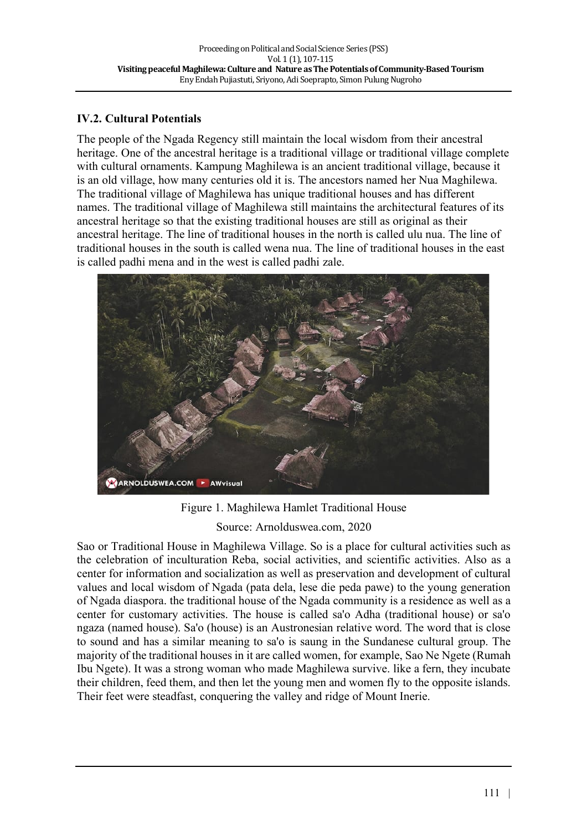## **IV.2. Cultural Potentials**

The people of the Ngada Regency still maintain the local wisdom from their ancestral heritage. One of the ancestral heritage is a traditional village or traditional village complete with cultural ornaments. Kampung Maghilewa is an ancient traditional village, because it is an old village, how many centuries old it is. The ancestors named her Nua Maghilewa. The traditional village of Maghilewa has unique traditional houses and has different names. The traditional village of Maghilewa still maintains the architectural features of its ancestral heritage so that the existing traditional houses are still as original as their ancestral heritage. The line of traditional houses in the north is called ulu nua. The line of traditional houses in the south is called wena nua. The line of traditional houses in the east is called padhi mena and in the west is called padhi zale.



Figure 1. Maghilewa Hamlet Traditional House Source: Arnolduswea.com, 2020

Sao or Traditional House in Maghilewa Village. So is a place for cultural activities such as the celebration of inculturation Reba, social activities, and scientific activities. Also as a center for information and socialization as well as preservation and development of cultural values and local wisdom of Ngada (pata dela, lese die peda pawe) to the young generation of Ngada diaspora. the traditional house of the Ngada community is a residence as well as a center for customary activities. The house is called sa'o Adha (traditional house) or sa'o ngaza (named house). Sa'o (house) is an Austronesian relative word. The word that is close to sound and has a similar meaning to sa'o is saung in the Sundanese cultural group. The majority of the traditional houses in it are called women, for example, Sao Ne Ngete (Rumah Ibu Ngete). It was a strong woman who made Maghilewa survive. like a fern, they incubate their children, feed them, and then let the young men and women fly to the opposite islands. Their feet were steadfast, conquering the valley and ridge of Mount Inerie.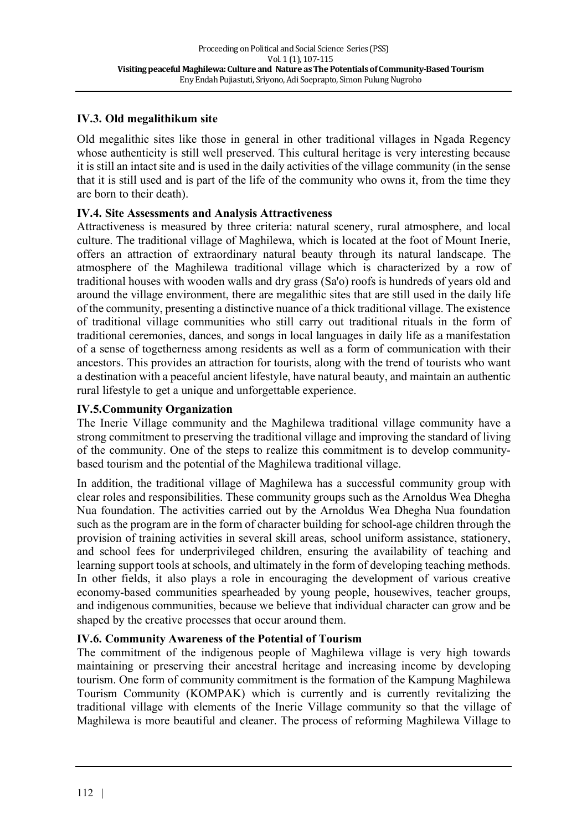## **IV.3. Old megalithikum site**

Old megalithic sites like those in general in other traditional villages in Ngada Regency whose authenticity is still well preserved. This cultural heritage is very interesting because it is still an intact site and is used in the daily activities of the village community (in the sense that it is still used and is part of the life of the community who owns it, from the time they are born to their death).

## **IV.4. Site Assessments and Analysis Attractiveness**

Attractiveness is measured by three criteria: natural scenery, rural atmosphere, and local culture. The traditional village of Maghilewa, which is located at the foot of Mount Inerie, offers an attraction of extraordinary natural beauty through its natural landscape. The atmosphere of the Maghilewa traditional village which is characterized by a row of traditional houses with wooden walls and dry grass (Sa'o) roofs is hundreds of years old and around the village environment, there are megalithic sites that are still used in the daily life of the community, presenting a distinctive nuance of a thick traditional village. The existence of traditional village communities who still carry out traditional rituals in the form of traditional ceremonies, dances, and songs in local languages in daily life as a manifestation of a sense of togetherness among residents as well as a form of communication with their ancestors. This provides an attraction for tourists, along with the trend of tourists who want a destination with a peaceful ancient lifestyle, have natural beauty, and maintain an authentic rural lifestyle to get a unique and unforgettable experience.

## **IV.5.Community Organization**

The Inerie Village community and the Maghilewa traditional village community have a strong commitment to preserving the traditional village and improving the standard of living of the community. One of the steps to realize this commitment is to develop communitybased tourism and the potential of the Maghilewa traditional village.

In addition, the traditional village of Maghilewa has a successful community group with clear roles and responsibilities. These community groups such as the Arnoldus Wea Dhegha Nua foundation. The activities carried out by the Arnoldus Wea Dhegha Nua foundation such as the program are in the form of character building for school-age children through the provision of training activities in several skill areas, school uniform assistance, stationery, and school fees for underprivileged children, ensuring the availability of teaching and learning support tools at schools, and ultimately in the form of developing teaching methods. In other fields, it also plays a role in encouraging the development of various creative economy-based communities spearheaded by young people, housewives, teacher groups, and indigenous communities, because we believe that individual character can grow and be shaped by the creative processes that occur around them.

### **IV.6. Community Awareness of the Potential of Tourism**

The commitment of the indigenous people of Maghilewa village is very high towards maintaining or preserving their ancestral heritage and increasing income by developing tourism. One form of community commitment is the formation of the Kampung Maghilewa Tourism Community (KOMPAK) which is currently and is currently revitalizing the traditional village with elements of the Inerie Village community so that the village of Maghilewa is more beautiful and cleaner. The process of reforming Maghilewa Village to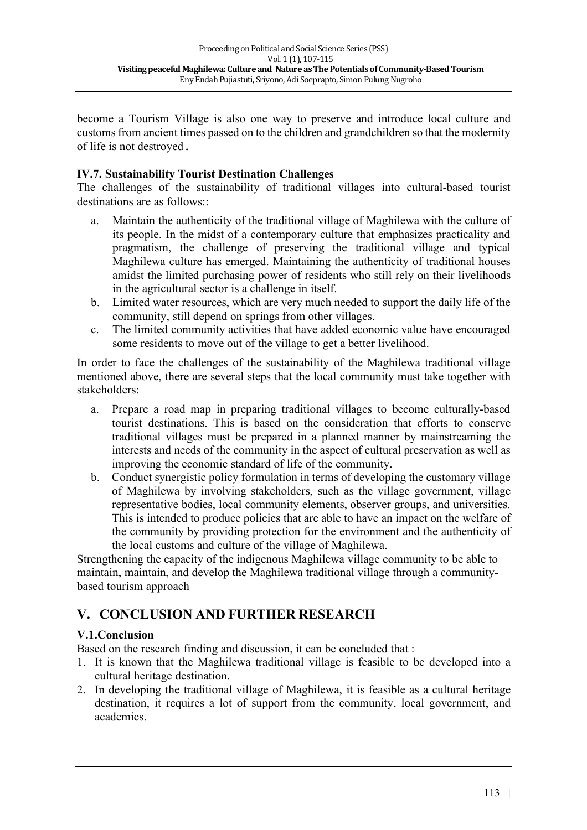become a Tourism Village is also one way to preserve and introduce local culture and customs from ancient times passed on to the children and grandchildren so that the modernity of life is not destroyed.

## **IV.7. Sustainability Tourist Destination Challenges**

The challenges of the sustainability of traditional villages into cultural-based tourist destinations are as follows<sup>"</sup>

- a. Maintain the authenticity of the traditional village of Maghilewa with the culture of its people. In the midst of a contemporary culture that emphasizes practicality and pragmatism, the challenge of preserving the traditional village and typical Maghilewa culture has emerged. Maintaining the authenticity of traditional houses amidst the limited purchasing power of residents who still rely on their livelihoods in the agricultural sector is a challenge in itself.
- b. Limited water resources, which are very much needed to support the daily life of the community, still depend on springs from other villages.
- c. The limited community activities that have added economic value have encouraged some residents to move out of the village to get a better livelihood.

In order to face the challenges of the sustainability of the Maghilewa traditional village mentioned above, there are several steps that the local community must take together with stakeholders:

- a. Prepare a road map in preparing traditional villages to become culturally-based tourist destinations. This is based on the consideration that efforts to conserve traditional villages must be prepared in a planned manner by mainstreaming the interests and needs of the community in the aspect of cultural preservation as well as improving the economic standard of life of the community.
- b. Conduct synergistic policy formulation in terms of developing the customary village of Maghilewa by involving stakeholders, such as the village government, village representative bodies, local community elements, observer groups, and universities. This is intended to produce policies that are able to have an impact on the welfare of the community by providing protection for the environment and the authenticity of the local customs and culture of the village of Maghilewa.

Strengthening the capacity of the indigenous Maghilewa village community to be able to maintain, maintain, and develop the Maghilewa traditional village through a communitybased tourism approach

## **V. CONCLUSION AND FURTHER RESEARCH**

### **V.1.Conclusion**

Based on the research finding and discussion, it can be concluded that :

- 1. It is known that the Maghilewa traditional village is feasible to be developed into a cultural heritage destination.
- 2. In developing the traditional village of Maghilewa, it is feasible as a cultural heritage destination, it requires a lot of support from the community, local government, and academics.